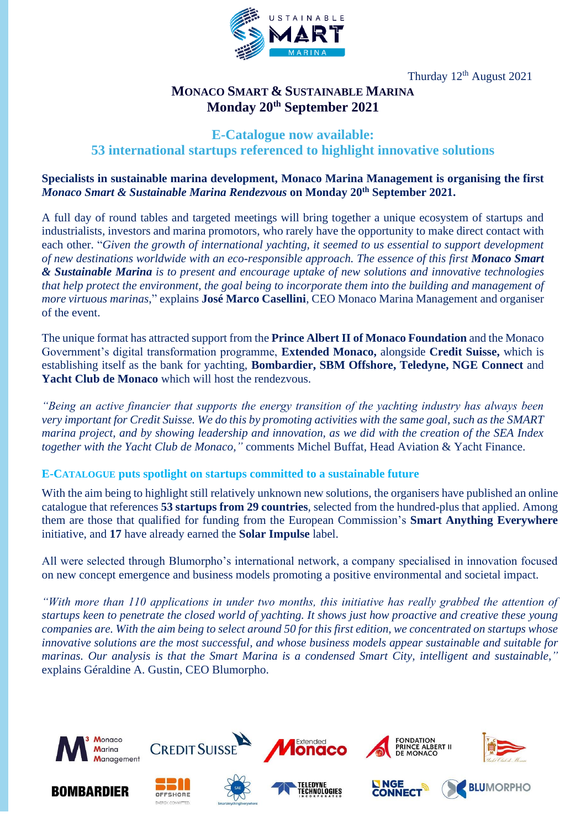

Thurday 12th August 2021

# **MONACO SMART & SUSTAINABLE MARINA Monday 20th September 2021**

# **E-Catalogue now available:**

# **53 international startups referenced to highlight innovative solutions**

## **Specialists in sustainable marina development, Monaco Marina Management is organising the first** *Monaco Smart & Sustainable Marina Rendezvous* **on Monday 20th September 2021.**

A full day of round tables and targeted meetings will bring together a unique ecosystem of startups and industrialists, investors and marina promotors, who rarely have the opportunity to make direct contact with each other. "*Given the growth of international yachting, it seemed to us essential to support development of new destinations worldwide with an eco-responsible approach. The essence of this first Monaco Smart & Sustainable Marina is to present and encourage uptake of new solutions and innovative technologies that help protect the environment, the goal being to incorporate them into the building and management of more virtuous marinas*," explains **José Marco Casellini**, CEO Monaco Marina Management and organiser of the event.

The unique format has attracted support from the **Prince Albert II of Monaco Foundation** and the Monaco Government's digital transformation programme, **Extended Monaco,** alongside **Credit Suisse,** which is establishing itself as the bank for yachting, **Bombardier, SBM Offshore, Teledyne, NGE Connect** and **Yacht Club de Monaco** which will host the rendezvous.

*"Being an active financier that supports the energy transition of the yachting industry has always been very important for Credit Suisse. We do this by promoting activities with the same goal, such as the SMART marina project, and by showing leadership and innovation, as we did with the creation of the SEA Index together with the Yacht Club de Monaco,"* comments Michel Buffat, Head Aviation & Yacht Finance.

#### **E-CATALOGUE puts spotlight on startups committed to a sustainable future**

With the aim being to highlight still relatively unknown new solutions, the organisers have published an online catalogue that references **53 startups from 29 countries**, selected from the hundred-plus that applied. Among them are those that qualified for funding from the European Commission's **Smart Anything Everywhere** initiative, and **17** have already earned the **Solar Impulse** label.

All were selected through Blumorpho's international network, a company specialised in innovation focused on new concept emergence and business models promoting a positive environmental and societal impact.

*"With more than 110 applications in under two months, this initiative has really grabbed the attention of startups keen to penetrate the closed world of yachting. It shows just how proactive and creative these young companies are. With the aim being to select around 50 for this first edition, we concentrated on startups whose innovative solutions are the most successful, and whose business models appear sustainable and suitable for marinas. Our analysis is that the Smart Marina is a condensed Smart City, intelligent and sustainable,"* explains Géraldine A. Gustin, CEO Blumorpho.